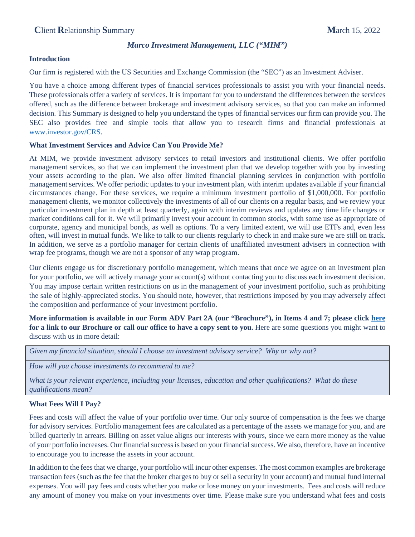## *Marco Investment Management, LLC ("MIM")*

### **Introduction**

Our firm is registered with the US Securities and Exchange Commission (the "SEC") as an Investment Adviser.

You have a choice among different types of financial services professionals to assist you with your financial needs. These professionals offer a variety of services. It is important for you to understand the differences between the services offered, such as the difference between brokerage and investment advisory services, so that you can make an informed decision. This Summary is designed to help you understand the types of financial services our firm can provide you. The SEC also provides free and simple tools that allow you to research firms and financial professionals at [www.investor.gov/CRS.](http://www.investor.gov/CRS)

## **What Investment Services and Advice Can You Provide Me?**

At MIM, we provide investment advisory services to retail investors and institutional clients. We offer portfolio management services, so that we can implement the investment plan that we develop together with you by investing your assets according to the plan. We also offer limited financial planning services in conjunction with portfolio management services. We offer periodic updates to your investment plan, with interim updates available if your financial circumstances change. For these services, we require a minimum investment portfolio of \$1,000,000. For portfolio management clients, we monitor collectively the investments of all of our clients on a regular basis, and we review your particular investment plan in depth at least quarterly, again with interim reviews and updates any time life changes or market conditions call for it. We will primarily invest your account in common stocks, with some use as appropriate of corporate, agency and municipal bonds, as well as options. To a very limited extent, we will use ETFs and, even less often, will invest in mutual funds. We like to talk to our clients regularly to check in and make sure we are still on track. In addition, we serve as a portfolio manager for certain clients of unaffiliated investment advisers in connection with wrap fee programs, though we are not a sponsor of any wrap program.

Our clients engage us for discretionary portfolio management, which means that once we agree on an investment plan for your portfolio, we will actively manage your account(s) without contacting you to discuss each investment decision. You may impose certain written restrictions on us in the management of your investment portfolio, such as prohibiting the sale of highly-appreciated stocks. You should note, however, that restrictions imposed by you may adversely affect the composition and performance of your investment portfolio.

**More information is available in our Form ADV Part 2A (our "Brochure"), in Items 4 and 7; please click [here](https://adviserinfo.sec.gov/firm/summary/108170)  for a link to our Brochure or call our office to have a copy sent to you.** Here are some questions you might want to discuss with us in more detail:

*Given my financial situation, should I choose an investment advisory service? Why or why not?*

*How will you choose investments to recommend to me?*

*What is your relevant experience, including your licenses, education and other qualifications? What do these qualifications mean?*

# **What Fees Will I Pay?**

Fees and costs will affect the value of your portfolio over time. Our only source of compensation is the fees we charge for advisory services. Portfolio management fees are calculated as a percentage of the assets we manage for you, and are billed quarterly in arrears. Billing on asset value aligns our interests with yours, since we earn more money as the value of your portfolio increases. Our financial success is based on your financial success. We also, therefore, have an incentive to encourage you to increase the assets in your account.

In addition to the fees that we charge, your portfolio will incur other expenses. The most common examples are brokerage transaction fees (such as the fee that the broker charges to buy or sell a security in your account) and mutual fund internal expenses. You will pay fees and costs whether you make or lose money on your investments. Fees and costs will reduce any amount of money you make on your investments over time. Please make sure you understand what fees and costs